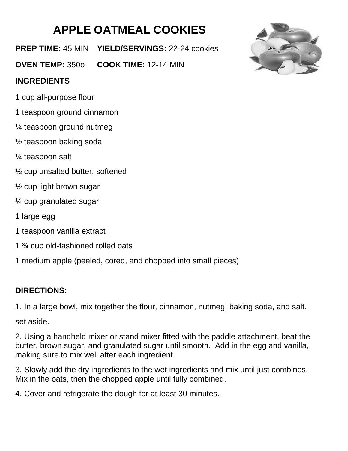## **APPLE OATMEAL COOKIES**

**PREP TIME:** 45 MIN **YIELD/SERVINGS:** 22-24 cookies

**OVEN TEMP:** 350o **COOK TIME:** 12-14 MIN

## **INGREDIENTS**

- 1 cup all-purpose flour
- 1 teaspoon ground cinnamon
- ¼ teaspoon ground nutmeg
- ½ teaspoon baking soda
- ¼ teaspoon salt
- ½ cup unsalted butter, softened
- $\frac{1}{2}$  cup light brown sugar
- ¼ cup granulated sugar
- 1 large egg
- 1 teaspoon vanilla extract
- 1 ¾ cup old-fashioned rolled oats
- 1 medium apple (peeled, cored, and chopped into small pieces)

## **DIRECTIONS:**

1. In a large bowl, mix together the flour, cinnamon, nutmeg, baking soda, and salt.

set aside.

2. Using a handheld mixer or stand mixer fitted with the paddle attachment, beat the butter, brown sugar, and granulated sugar until smooth. Add in the egg and vanilla, making sure to mix well after each ingredient.

3. Slowly add the dry ingredients to the wet ingredients and mix until just combines. Mix in the oats, then the chopped apple until fully combined,

4. Cover and refrigerate the dough for at least 30 minutes.